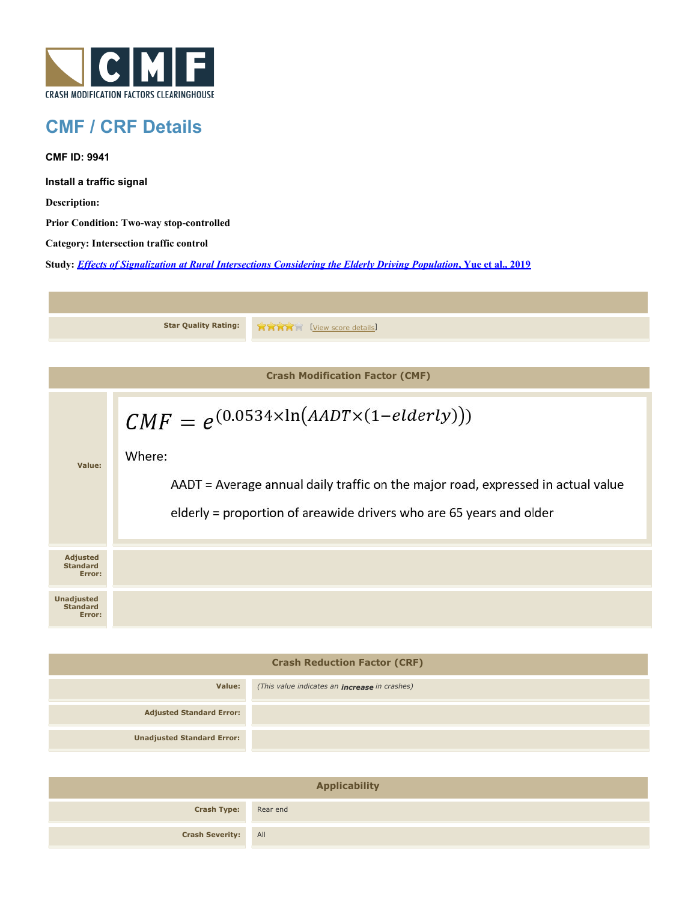

## **CMF / CRF Details**

**CMF ID: 9941**

**Install a traffic signal**

**Description:** 

**Prior Condition: Two-way stop-controlled**

**Category: Intersection traffic control**

**Study:** *[Effects of Signalization at Rural Intersections Considering the Elderly Driving Population](http://www.cmfclearinghouse.org/study_detail.cfm?stid=560)***[, Yue et al., 2019](http://www.cmfclearinghouse.org/study_detail.cfm?stid=560)**



| <b>Crash Reduction Factor (CRF)</b> |                                                      |  |
|-------------------------------------|------------------------------------------------------|--|
| Value:                              | (This value indicates an <b>increase</b> in crashes) |  |
| <b>Adjusted Standard Error:</b>     |                                                      |  |
| <b>Unadjusted Standard Error:</b>   |                                                      |  |
|                                     |                                                      |  |

| <b>Applicability</b>        |  |  |
|-----------------------------|--|--|
| <b>Crash Type:</b> Rear end |  |  |
| <b>Crash Severity:</b> All  |  |  |